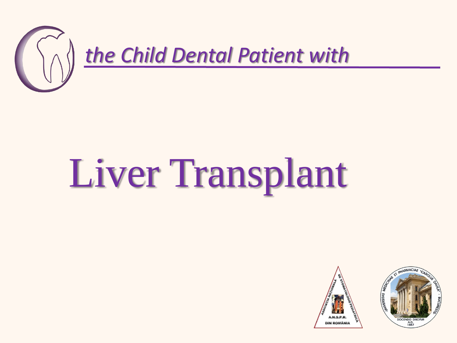

## Liver Transplant



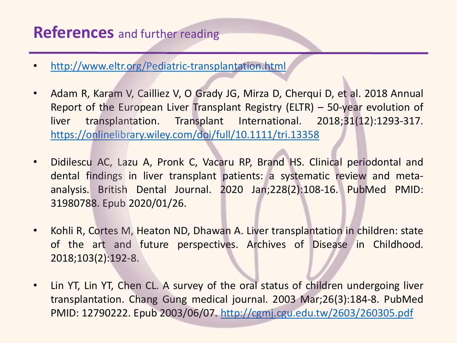## **References** and further reading

- <http://www.eltr.org/Pediatric-transplantation.html>
- Adam R, Karam V, Cailliez V, O Grady JG, Mirza D, Cherqui D, et al. 2018 Annual Report of the European Liver Transplant Registry (ELTR) – 50-year evolution of liver transplantation. Transplant International. 2018;31(12):1293-317. <https://onlinelibrary.wiley.com/doi/full/10.1111/tri.13358>
- Didilescu AC, Lazu A, Pronk C, Vacaru RP, Brand HS. Clinical periodontal and dental findings in liver transplant patients: a systematic review and metaanalysis. British Dental Journal. 2020 Jan;228(2):108-16. PubMed PMID: 31980788. Epub 2020/01/26.
- Kohli R, Cortes M, Heaton ND, Dhawan A. Liver transplantation in children: state of the art and future perspectives. Archives of Disease in Childhood. 2018;103(2):192-8.
- Lin YT, Lin YT, Chen CL. A survey of the oral status of children undergoing liver transplantation. Chang Gung medical journal. 2003 Mar;26(3):184-8. PubMed PMID: 12790222. Epub 2003/06/07. [http://cgmj.cgu.edu.tw/2603/260305.pdf](about:blank)